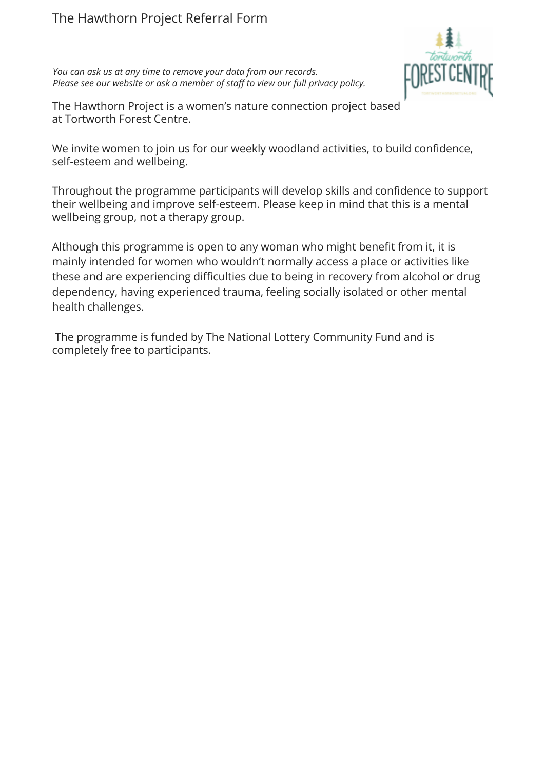## The Hawthorn Project Referral Form

*You can ask us at any time to remove your data from our records. Please see our website or ask a member of staff to view our full privacy policy.*



The Hawthorn Project is a women's nature connection project based at [Tortworth Forest Centre.](http://www.tortwortharboretum.org/)

We invite women to join us for our weekly woodland activities, to build confidence, self-esteem and wellbeing.

Throughout the programme participants will develop skills and confidence to support their wellbeing and improve self-esteem. Please keep in mind that this is a mental wellbeing group, not a therapy group.

Although this programme is open to any woman who might benefit from it, it is mainly intended for women who wouldn't normally access a place or activities like these and are experiencing difficulties due to being in recovery from alcohol or drug dependency, having experienced trauma, feeling socially isolated or other mental health challenges.

The programme is funded by [The National Lottery Community](https://www.tnlcommunityfund.org.uk/) Fund and is completely free to participants.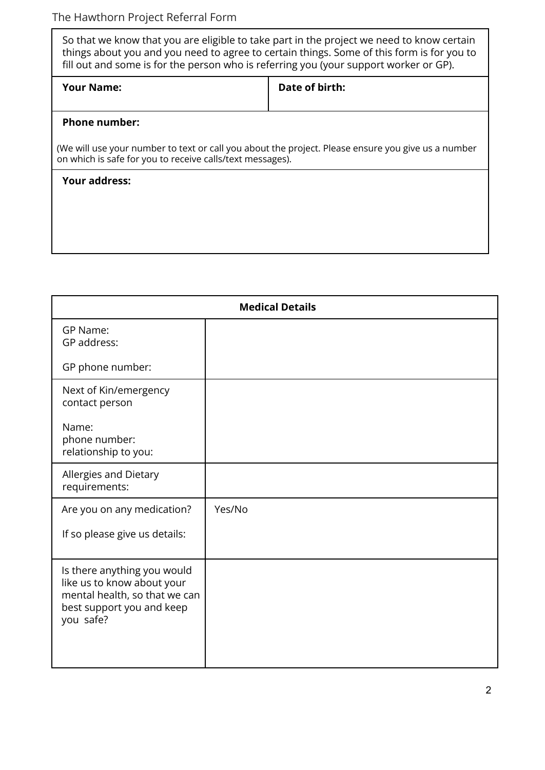| So that we know that you are eligible to take part in the project we need to know certain<br>things about you and you need to agree to certain things. Some of this form is for you to<br>fill out and some is for the person who is referring you (your support worker or GP). |                |  |
|---------------------------------------------------------------------------------------------------------------------------------------------------------------------------------------------------------------------------------------------------------------------------------|----------------|--|
| <b>Your Name:</b>                                                                                                                                                                                                                                                               | Date of birth: |  |
| <b>Phone number:</b>                                                                                                                                                                                                                                                            |                |  |
| (We will use your number to text or call you about the project. Please ensure you give us a number<br>on which is safe for you to receive calls/text messages).                                                                                                                 |                |  |
| <b>Your address:</b>                                                                                                                                                                                                                                                            |                |  |
|                                                                                                                                                                                                                                                                                 |                |  |
|                                                                                                                                                                                                                                                                                 |                |  |

| <b>Medical Details</b>                                                                                                               |        |  |
|--------------------------------------------------------------------------------------------------------------------------------------|--------|--|
| GP Name:<br>GP address:                                                                                                              |        |  |
| GP phone number:                                                                                                                     |        |  |
| Next of Kin/emergency<br>contact person                                                                                              |        |  |
| Name:<br>phone number:<br>relationship to you:                                                                                       |        |  |
| Allergies and Dietary<br>requirements:                                                                                               |        |  |
| Are you on any medication?                                                                                                           | Yes/No |  |
| If so please give us details:                                                                                                        |        |  |
| Is there anything you would<br>like us to know about your<br>mental health, so that we can<br>best support you and keep<br>you safe? |        |  |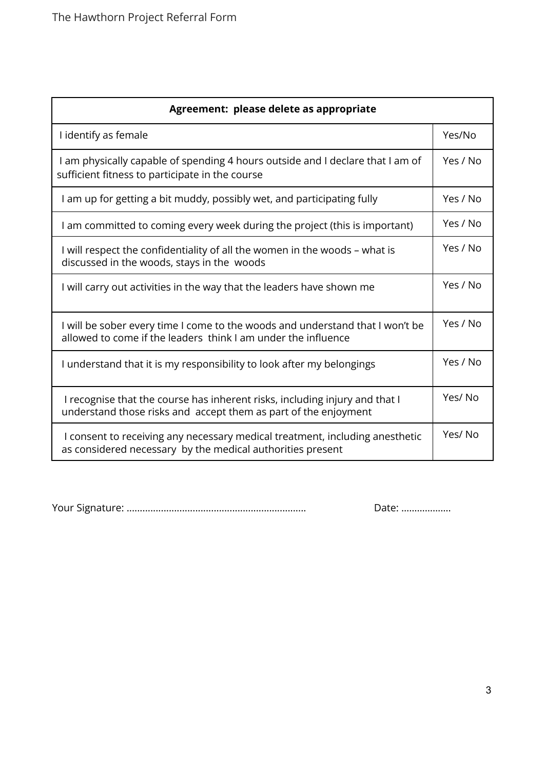| Agreement: please delete as appropriate                                                                                                        |          |  |
|------------------------------------------------------------------------------------------------------------------------------------------------|----------|--|
| I identify as female                                                                                                                           | Yes/No   |  |
| I am physically capable of spending 4 hours outside and I declare that I am of<br>sufficient fitness to participate in the course              |          |  |
| I am up for getting a bit muddy, possibly wet, and participating fully                                                                         | Yes / No |  |
| I am committed to coming every week during the project (this is important)                                                                     | Yes / No |  |
| I will respect the confidentiality of all the women in the woods - what is<br>discussed in the woods, stays in the woods                       |          |  |
| I will carry out activities in the way that the leaders have shown me                                                                          | Yes / No |  |
| I will be sober every time I come to the woods and understand that I won't be<br>allowed to come if the leaders think I am under the influence |          |  |
| I understand that it is my responsibility to look after my belongings                                                                          |          |  |
| I recognise that the course has inherent risks, including injury and that I<br>understand those risks and accept them as part of the enjoyment |          |  |
| I consent to receiving any necessary medical treatment, including anesthetic<br>as considered necessary by the medical authorities present     |          |  |

Your Signature: .................................................................... Date: ……………….